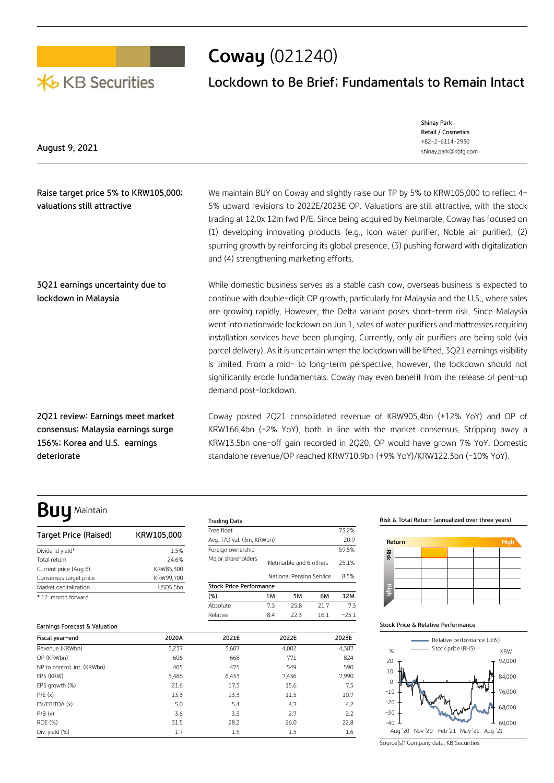# **X**b KB Securities

# **Coway** (021240)

## **Lockdown to Be Brief; Fundamentals to Remain Intact**

|                | Shinay Park          |
|----------------|----------------------|
|                | Retail / Cosmetics   |
|                | +82-2-6114-2930      |
| August 9, 2021 | shinay.park@kbfg.com |
|                |                      |
|                |                      |

**Raise target price 5% to KRW105,000; valuations still attractive**  We maintain BUY on Coway and slightly raise our TP by 5% to KRW105,000 to reflect 4-5% upward revisions to 2022E/2023E OP. Valuations are still attractive, with the stock trading at 12.0x 12m fwd P/E. Since being acquired by Netmarble, Coway has focused on (1) developing innovating products (e.g., Icon water purifier, Noble air purifier), (2) spurring growth by reinforcing its global presence, (3) pushing forward with digitalization and (4) strengthening marketing efforts.

**3Q21 earnings uncertainty due to lockdown in Malaysia** While domestic business serves as a stable cash cow, overseas business is expected to continue with double-digit OP growth, particularly for Malaysia and the U.S., where sales are growing rapidly. However, the Delta variant poses short-term risk. Since Malaysia went into nationwide lockdown on Jun 1, sales of water purifiers and mattresses requiring installation services have been plunging. Currently, only air purifiers are being sold (via parcel delivery). As it is uncertain when the lockdown will be lifted, 3Q21 earnings visibility is limited. From a mid- to long-term perspective, however, the lockdown should not significantly erode fundamentals. Coway may even benefit from the release of pent-up demand post-lockdown.

> Free float 73.2% Avg. T/O val. (3m, KRWbn) 20.9 Foreign ownership 59.5% Major shareholders<br>Netmarble and 6 others 25.1%

> **(%) 1M 3M 6M 12M** Absolute 7.3 25.8 21.7 7.3 Relative 8.4 22.3 16.1 -23.1

National Pension Service 8.5%

**2Q21 review: Earnings meet market consensus; Malaysia earnings surge 156%; Korea and U.S. earnings deteriorate**

Coway posted 2Q21 consolidated revenue of KRW905.4bn (+12% YoY) and OP of KRW166.4bn (-2% YoY), both in line with the market consensus. Stripping away a KRW13.5bn one-off gain recorded in 2Q20, OP would have grown 7% YoY. Domestic standalone revenue/OP reached KRW710.9bn (+9% YoY)/KRW122.3bn (-10% YoY).

# **Buy** Maintain

| Target Price (Raised)  | KRW105,000 |
|------------------------|------------|
| Dividend vield*        | 1.5%       |
| Total return           | 24.6%      |
| Current price (Aug 6)  | KRW85.300  |
| Consensus target price | KRW99,700  |
| Market capitalization  | USD5.5bn   |
| * 12-month forward     |            |

## **Earnings Forecast & Valuation**

| Fiscal year-end             | 2020A | 2021E | 2022E | 2023E |
|-----------------------------|-------|-------|-------|-------|
| Revenue (KRWbn)             | 3,237 | 3,607 | 4,002 | 4,387 |
| OP (KRWbn)                  | 606   | 668   | 771   | 824   |
| NP to control, int. (KRWbn) | 405   | 475   | 549   | 590   |
| EPS (KRW)                   | 5,486 | 6,433 | 7,436 | 7,990 |
| EPS growth (%)              | 21.6  | 17.3  | 15.6  | 7.5   |
| P/E(x)                      | 13.3  | 13.3  | 11.5  | 10.7  |
| EV/EBITDA (x)               | 5.0   | 5.4   | 4.7   | 4,2   |
| P/B(x)                      | 3.6   | 3.3   | 2.7   | 2.2   |
| <b>ROE (%)</b>              | 31.5  | 28.2  | 26.0  | 22.8  |
| Div. yield (%)              | 1.7   | 1.5   | 1.5   | 1.6   |

**Trading Data**

**Stock Price Performance**

### **Risk & Total Return (annualized over three years)**



### **Stock Price & Relative Performance**



Source(s): Company data, KB Securities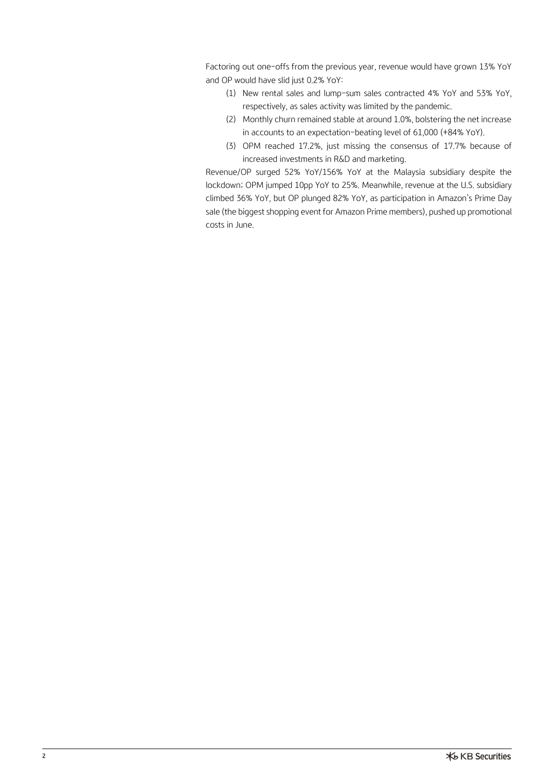Factoring out one-offs from the previous year, revenue would have grown 13% YoY and OP would have slid just 0.2% YoY:

- (1) New rental sales and lump-sum sales contracted 4% YoY and 53% YoY, respectively, as sales activity was limited by the pandemic.
- (2) Monthly churn remained stable at around 1.0%, bolstering the net increase in accounts to an expectation-beating level of 61,000 (+84% YoY).
- (3) OPM reached 17.2%, just missing the consensus of 17.7% because of increased investments in R&D and marketing.

Revenue/OP surged 52% YoY/156% YoY at the Malaysia subsidiary despite the lockdown; OPM jumped 10pp YoY to 25%. Meanwhile, revenue at the U.S. subsidiary climbed 36% YoY, but OP plunged 82% YoY, as participation in Amazon's Prime Day sale (the biggest shopping event for Amazon Prime members), pushed up promotional costs in June.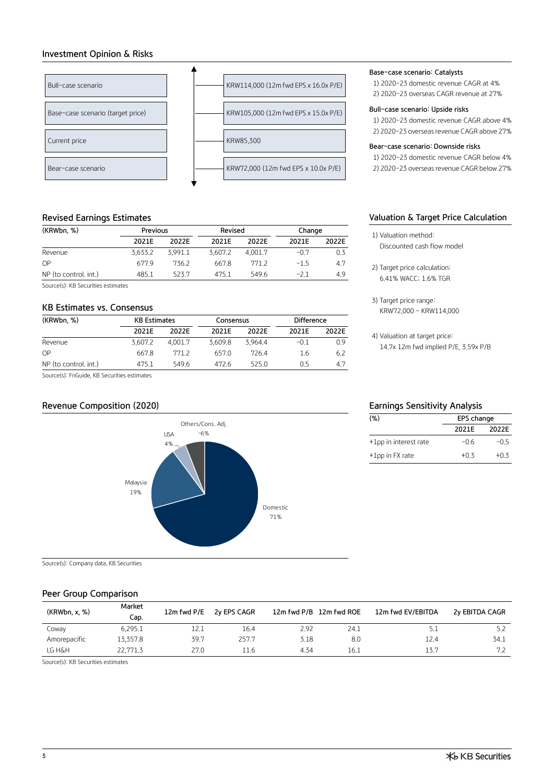## **Investment Opinion & Risks**



## **Revised Earnings Estimates**

| (KRWbn, %)            | Previous |         | Revised |         | Change |       |  |
|-----------------------|----------|---------|---------|---------|--------|-------|--|
|                       | 2021F    | 2022F   | 2021E   | 2022F   | 2021E  | 2022E |  |
| Revenue               | 3.633.2  | 3.991.1 | 3.607.2 | 4.001.7 | $-0.7$ | 0.3   |  |
| OP                    | 677.9    | 736.2   | 667.8   | 771.2   | $-1.5$ | 4.7   |  |
| NP (to control, int.) | 485.1    | 523.7   | 475.1   | 549.6   | $-21$  | 4.9   |  |

Source(s): KB Securities estimates

## **KB Estimates vs. Consensus**

| (KRWbn, %)            | <b>KB Estimates</b> |         | Consensus |         | Difference |       |  |
|-----------------------|---------------------|---------|-----------|---------|------------|-------|--|
|                       | 2021E               | 2022F   | 2021E     | 2022F   | 2021F      | 2022E |  |
| Revenue               | 3.607.2             | 4.001.7 | 3.609.8   | 3.964.4 | $-0.1$     | 0.9   |  |
| OP                    | 667.8               | 771.2   | 657.0     | 7264    | 1.6        | 6.2   |  |
| NP (to control, int.) | 475.1               | 549.6   | 472.6     | 525.0   | 0.5        | 4.7   |  |

Source(s): FnGuide, KB Securities estimates

## **Revenue Composition (2020) Earnings Sensitivity Analysis**



Source(s): Company data, KB Securities

## **Peer Group Comparison**

| (KRWbn, x, %) | Market<br>Cap. | 12m fwd P/E | 2y EPS CAGR |      | 12m fwd P/B 12m fwd ROE | 12m fwd EV/EBITDA | 2y EBITDA CAGR |
|---------------|----------------|-------------|-------------|------|-------------------------|-------------------|----------------|
| Coway         | 6,295.1        | 12.1        | 16.4        | 2.92 | 24.1                    | 5.1               | 5.2            |
| Amorepacific  | 13,357,8       | 39.7        | 257.7       | 3.18 | 8.0                     | 12.4              | 34.1           |
| LG H&H        | 22,771.3       | 27.0        | 11.6        | 4.34 | 16.1                    | 13.7              | 7.2            |

Source(s): KB Securities estimates

## **Base-case scenario: Catalysts**

1) 2020-23 domestic revenue CAGR at 4% 2) 2020-23 overseas CAGR revenue at 27%

## **Bull-case scenario: Upside risks**

1) 2020-23 domestic revenue CAGR above 4% 2) 2020-23 overseas revenue CAGR above 27%

## **Bear-case scenario: Downside risks**

1) 2020-23 domestic revenue CAGR below 4% 2) 2020-23 overseas revenue CAGR below 27%

## **Valuation & Target Price Calculation**

- 1) Valuation method: Discounted cash flow model
- 2) Target price calculation: 6.41% WACC; 1.6% TGR
- 3) Target price range: KRW72,000 – KRW114,000

4) Valuation at target price: 14.7x 12m fwd implied P/E, 3.59x P/B

| (% )                  | EPS change |        |  |  |  |  |  |
|-----------------------|------------|--------|--|--|--|--|--|
|                       | 2021E      | 2022E  |  |  |  |  |  |
| +1pp in interest rate | $-06$      | $-0.5$ |  |  |  |  |  |
| +1pp in FX rate       | $+0.3$     | $+0.3$ |  |  |  |  |  |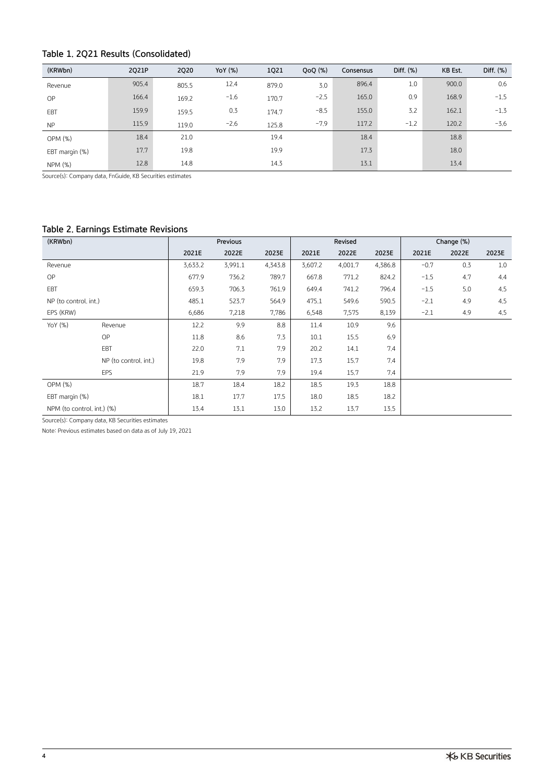## **Table 1. 2Q21 Results (Consolidated)**

| (KRWbn)        | 2021P | 2020  | YoY (%) | 1Q21  | $QoQ$ $(\%)$ | Consensus | Diff. $(\%)$ | KB Est. | Diff. $(\%)$ |
|----------------|-------|-------|---------|-------|--------------|-----------|--------------|---------|--------------|
| Revenue        | 905.4 | 805.5 | 12.4    | 879.0 | 3.0          | 896.4     | 1.0          | 900.0   | 0.6          |
| OP             | 166.4 | 169.2 | $-1.6$  | 170.7 | $-2.5$       | 165.0     | 0.9          | 168.9   | $-1.5$       |
| EBT            | 159.9 | 159.5 | 0.3     | 174.7 | $-8.5$       | 155.0     | 3.2          | 162.1   | $-1.3$       |
| <b>NP</b>      | 115.9 | 119.0 | $-2.6$  | 125.8 | $-7.9$       | 117.2     | $-1.2$       | 120.2   | $-3.6$       |
| OPM (%)        | 18.4  | 21.0  |         | 19.4  |              | 18.4      |              | 18.8    |              |
| EBT margin (%) | 17.7  | 19.8  |         | 19.9  |              | 17.3      |              | 18.0    |              |
| NPM (%)        | 12.8  | 14.8  |         | 14.3  |              | 13.1      |              | 13.4    |              |

Source(s): Company data, FnGuide, KB Securities estimates

## **Table 2. Earnings Estimate Revisions**

| (KRWbn)                    |                       |         | Previous |         | Revised |         |         | Change (%) |       |       |
|----------------------------|-----------------------|---------|----------|---------|---------|---------|---------|------------|-------|-------|
|                            |                       | 2021E   | 2022E    | 2023E   | 2021E   | 2022E   | 2023E   | 2021E      | 2022E | 2023E |
| Revenue                    |                       | 3,633.2 | 3,991.1  | 4,343.8 | 3,607.2 | 4,001.7 | 4,386.8 | $-0.7$     | 0.3   | 1.0   |
| <b>OP</b>                  |                       | 677.9   | 736.2    | 789.7   | 667.8   | 771.2   | 824.2   | $-1.5$     | 4.7   | 4.4   |
| EBT                        |                       | 659.3   | 706.3    | 761.9   | 649.4   | 741.2   | 796.4   | $-1.5$     | 5.0   | 4.5   |
| NP (to control, int.)      |                       | 485.1   | 523.7    | 564.9   | 475.1   | 549.6   | 590.5   | $-2.1$     | 4,9   | 4.5   |
| EPS (KRW)                  |                       | 6,686   | 7,218    | 7,786   | 6,548   | 7,575   | 8,139   | $-2.1$     | 4.9   | 4.5   |
| YoY (%)                    | Revenue               | 12.2    | 9.9      | 8.8     | 11.4    | 10.9    | 9.6     |            |       |       |
|                            | <b>OP</b>             | 11.8    | 8.6      | 7.3     | 10.1    | 15.5    | 6.9     |            |       |       |
|                            | EBT                   | 22.0    | 7.1      | 7.9     | 20,2    | 14.1    | 7.4     |            |       |       |
|                            | NP (to control, int.) | 19.8    | 7.9      | 7.9     | 17.3    | 15.7    | 7.4     |            |       |       |
|                            | EPS                   | 21.9    | 7.9      | 7.9     | 19.4    | 15.7    | 7.4     |            |       |       |
| OPM(%)                     |                       | 18.7    | 18.4     | 18.2    | 18.5    | 19.3    | 18.8    |            |       |       |
| EBT margin (%)             |                       | 18.1    | 17.7     | 17.5    | 18.0    | 18.5    | 18.2    |            |       |       |
| NPM (to control, int.) (%) |                       | 13.4    | 13.1     | 13.0    | 13.2    | 13.7    | 13.5    |            |       |       |

Source(s): Company data, KB Securities estimates

Note: Previous estimates based on data as of July 19, 2021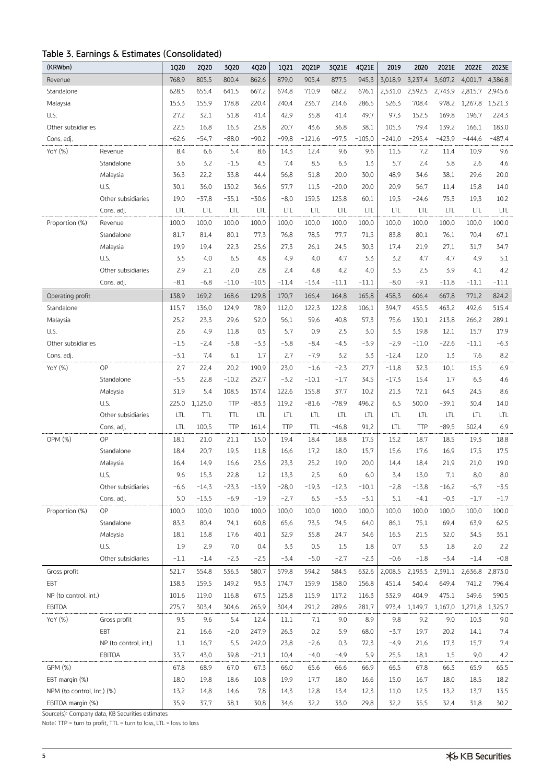## **Table 3. Earnings & Estimates (Consolidated)**

| (KRWbn)                    |                       | 1Q20    | 2Q20       | 3Q20       | 4Q20    | 1Q21       | 2Q21P      | 3Q21E      | 4Q21E    | 2019     | 2020       | 2021E    | 2022E           | 2023E    |
|----------------------------|-----------------------|---------|------------|------------|---------|------------|------------|------------|----------|----------|------------|----------|-----------------|----------|
| Revenue                    |                       | 768.9   | 805.5      | 800.4      | 862.6   | 879.0      | 905.4      | 877.5      | 945.3    | 3,018.9  | 3,237.4    | 3,607.2  | 4,001.7         | 4,386.8  |
| Standalone                 |                       | 628.5   | 655.4      | 641.5      | 667.2   | 674.8      | 710.9      | 682.2      | 676.1    | 2,531.0  | 2,592.5    | 2,743.9  | 2,815.7         | 2,945.6  |
| Malaysia                   |                       | 153.3   | 155.9      | 178.8      | 220.4   | 240.4      | 236.7      | 214.6      | 286.5    | 526.3    | 708.4      | 978.2    | 1,267.8         | 1,521.3  |
| U.S.                       |                       | 27.2    | 32.1       | 51.8       | 41.4    | 42.9       | 35.8       | 41.4       | 49.7     | 97.3     | 152.5      | 169.8    | 196.7           | 224.3    |
| Other subsidiaries         |                       | 22.5    | 16.8       | 16.3       | 23.8    | 20.7       | 43.6       | 36.8       | 38.1     | 105.3    | 79.4       | 139.2    | 166.1           | 183.0    |
| Cons. adj.                 |                       | $-62.6$ | $-54.7$    | $-88.0$    | $-90.2$ | $-99.8$    | $-121.6$   | $-97.5$    | $-105.0$ | $-241.0$ | $-295.4$   | $-423.9$ | $-444.6$        | $-487.4$ |
| YoY (%)                    | Revenue               | 8.4     | 6.6        | 5.4        | 8.6     | 14.3       | 12.4       | 9.6        | 9.6      | 11.5     | 7.2        | 11.4     | 10.9            | 9.6      |
|                            | Standalone            | 3.6     | 3.2        | $-1.5$     | 4.5     | 7.4        | 8.5        | 6.3        | 1.3      | 5.7      | 2.4        | 5.8      | 2.6             | 4.6      |
|                            | Malaysia              | 36.3    | 22.2       | 33.8       | 44.4    | 56.8       | 51.8       | 20.0       | 30.0     | 48.9     | 34,6       | 38.1     | 29.6            | 20.0     |
|                            | U.S.                  | 30.1    | 36.0       | 130.2      | 36.6    | 57.7       | 11.5       | $-20.0$    | 20.0     | 20.9     | 56.7       | 11.4     | 15.8            | 14.0     |
|                            | Other subsidiaries    | 19.0    | $-37.8$    | $-35.1$    | $-30.6$ | $-8.0$     | 159.5      | 125.8      | 60.1     | 19.5     | $-24.6$    | 75.3     | 19.3            | 10.2     |
|                            | Cons. adj.            | LTL     | LTL        | <b>LTL</b> | LTL     | LTL        | LTL        | LTL        | LTL      | LTL      | LTL        | LTL      | LTL             | LTL      |
| Proportion (%)             | Revenue               | 100.0   | 100.0      | 100.0      | 100.0   | 100.0      | 100.0      | 100.0      | 100.0    | 100.0    | 100.0      | 100.0    | 100.0           | 100.0    |
|                            | Standalone            | 81.7    | 81.4       | 80.1       | 77.3    | 76.8       | 78.5       | 77.7       | 71.5     | 83.8     | 80.1       | 76.1     | 70.4            | 67.1     |
|                            | Malaysia              | 19.9    | 19.4       | 22.3       | 25.6    | 27.3       | 26.1       | 24.5       | 30.3     | 17.4     | 21.9       | 27.1     | 31.7            | 34.7     |
|                            | U.S.                  | 3.5     | 4.0        | 6.5        | 4.8     | 4.9        | 4.0        | 4.7        | 5.3      | 3.2      | 4.7        | 4.7      | 4.9             | 5.1      |
|                            | Other subsidiaries    | 2.9     | 2.1        | 2.0        | 2.8     | 2.4        | 4.8        | 4.2        | 4.0      | 3.5      | 2.5        | 3.9      | 4.1             | 4.2      |
|                            | Cons. adj.            | $-8.1$  | $-6.8$     | $-11.0$    | $-10.5$ | $-11.4$    | $-13.4$    | $-11.1$    | $-11.1$  | $-8.0$   | $-9.1$     | $-11.8$  | $-11.1$         | $-11.1$  |
| Operating profit           |                       | 138.9   | 169.2      | 168.6      | 129.8   | 170.7      | 166.4      | 164.8      | 165.8    | 458.3    | 606.4      | 667.8    | 771.2           | 824.2    |
| Standalone                 |                       | 115.7   | 136.0      | 124.9      | 78.9    | 112.0      | 122.3      | 122.8      | 106.1    | 394.7    | 455.5      | 463.2    | 492.6           | 515.4    |
| Malaysia                   |                       | 25.2    | 23.3       | 29.6       | 52.0    | 56.1       | 59.6       | 40.8       | 57.3     | 75.6     | 130.1      | 213.8    | 266.2           | 289.1    |
| U.S.                       |                       | 2.6     | 4.9        | 11.8       | 0.5     | 5.7        | 0.9        | 2.5        | 3.0      | 3.3      | 19.8       | 12.1     | 15.7            | 17.9     |
| Other subsidiaries         |                       | $-1.5$  | $-2.4$     | $-3.8$     | $-3.3$  | $-5.8$     | $-8.4$     | $-4.5$     | $-3.9$   | $-2.9$   | $-11.0$    | $-22.6$  | $-11.1$         | $-6.3$   |
| Cons. adj.                 |                       | $-3.1$  | 7.4        | 6.1        | 1.7     | 2.7        | $-7.9$     | 3.2        | 3.3      | $-12.4$  | 12.0       | 1.3      | 7.6             | 8.2      |
| YoY (%)                    | OP                    | 2.7     | 22.4       | 20.2       | 190.9   | 23.0       | $-1.6$     | $-2.3$     | 27.7     | $-11.8$  | 32.3       | 10.1     | 15.5            | 6.9      |
|                            | Standalone            | $-5.5$  | 22,8       | $-10.2$    | 252.7   | $-3.2$     | $-10.1$    | $-1.7$     | 34.5     | $-17.3$  | 15.4       | 1.7      | 6.3             | 4.6      |
|                            | Malaysia              | 31.9    | 5.4        | 108.5      | 157.4   | 122.6      | 155.8      | 37.7       | 10.2     | 21.3     | 72.1       | 64.3     | 24.5            | 8.6      |
|                            | U.S.                  | 225.0   | 1,125.0    | <b>TTP</b> | $-83.3$ | 119.2      | $-81.6$    | $-78.9$    | 496.2    | 6.5      | 500.0      | $-39.1$  | 30,4            | 14.0     |
|                            | Other subsidiaries    | LTL     | <b>TTL</b> | <b>TTL</b> | LTL     | LTL        | LTL        | <b>LTL</b> | LTL      | LTL      | LTL        | LTL      | LTL             | LTL      |
|                            | Cons. adj.            | LTL     | 100.5      | <b>TTP</b> | 161.4   | <b>TTP</b> | <b>TTL</b> | $-46.8$    | 91.2     | LTL      | <b>TTP</b> | $-89.5$  | 502.4           | 6.9      |
| OPM (%)                    | OP                    | 18.1    | 21.0       | 21.1       | 15.0    | 19.4       | 18.4       | 18.8       | 17.5     | 15.2     | 18.7       | 18.5     | 19.3            | 18.8     |
|                            | Standalone            | 18.4    | 20.7       | 19.5       | 11.8    | 16.6       | 17.2       | 18.0       | 15.7     | 15.6     | 17.6       | 16.9     | 17.5            | 17.5     |
|                            | Malaysia              | 16.4    | 14.9       | 16.6       | 23.6    | 23.3       | 25.2       | 19.0       | 20.0     | 14.4     | 18.4       | 21.9     | 21.0            | 19.0     |
|                            | U.S.                  | 9.6     | 15.3       | 22.8       | 1.2     | 13.3       | 2.5        | 6.0        | 6.0      | 3.4      | 13.0       | $7.1\,$  | 8.0             | $8.0\,$  |
|                            | Other subsidiaries    | $-6.6$  | $-14.3$    | $-23.3$    | $-13.9$ | $-28.0$    | $-19.3$    | $-12.3$    | $-10.1$  | $-2.8$   | $-13.8$    | $-16.2$  | $-6.7$          | $-3.5$   |
|                            | Cons. adj.            | 5.0     | $-13.5$    | $-6.9$     | $-1.9$  | $-2.7$     | 6.5        | $-3.3$     | $-3.1$   | 5.1      | $-4.1$     | $-0.3$   | $-1.7$          | $-1.7$   |
| Proportion (%)             | OP                    | 100.0   | 100.0      | 100.0      | 100.0   | 100.0      | 100.0      | 100.0      | 100.0    | 100.0    | 100.0      | 100.0    | 100.0           | 100.0    |
|                            | Standalone            | 83.3    | 80.4       | 74.1       | 60.8    | 65.6       | 73.5       | 74.5       | 64.0     | 86.1     | 75.1       | 69.4     | 63.9            | 62.5     |
|                            | Malaysia              | 18.1    | 13.8       | 17.6       | 40.1    | 32.9       | 35.8       | 24.7       | 34.6     | 16.5     | 21.5       | 32.0     | 34.5            | 35.1     |
|                            | U.S.                  | 1.9     | 2.9        | 7.0        | 0.4     | 3.3        | 0.5        | 1.5        | 1.8      | 0.7      | 3.3        | 1.8      | 2.0             | 2.2      |
|                            | Other subsidiaries    | $-1.1$  | $-1.4$     | $-2.3$     | $-2.5$  | $-3.4$     | $-5.0$     | $-2.7$     | $-2.3$   | $-0.6$   | $-1.8$     | $-3.4$   | $-1.4$          | $-0.8$   |
| Gross profit               |                       | 521.7   | 554.8      | 536.3      | 580.7   | 579.8      | 594.2      | 584.5      | 632.6    | 2,008.5  | 2,193.5    | 2,391.1  | 2,636.8         | 2,873.0  |
| EBT                        |                       | 138.3   | 159.5      | 149.2      | 93.3    | 174.7      | 159.9      | 158.0      | 156.8    | 451.4    | 540.4      | 649.4    | 741.2           | 796.4    |
| NP (to control. int.)      |                       | 101.6   | 119.0      | 116.8      | 67.5    | 125.8      | 115.9      | 117.2      | 116.3    | 332.9    | 404.9      | 475.1    | 549.6           | 590.5    |
| EBITDA                     |                       | 275.7   | 303.4      | 304.6      | 265.9   | 304.4      | 291.2      | 289.6      | 281.7    | 973.4    | 1,149.7    | 1,167.0  | 1,271.8 1,325.7 |          |
| YoY (%)                    | Gross profit          | 9.5     | 9.6        | 5.4        | 12.4    | 11.1       | 7.1        | 9.0        | 8.9      | 9.8      | 9.2        | 9.0      | 10.3            | 9.0      |
|                            | EBT                   | 2.1     | 16.6       | $-2.0$     | 247.9   | 26.3       | 0.2        | 5.9        | 68.0     | $-3.7$   | 19.7       | 20.2     | 14.1            | 7.4      |
|                            | NP (to control. int.) | 1.1     | 16.7       | 5.5        | 242.0   | 23.8       | $-2.6$     | 0.3        | 72.3     | $-4.9$   | 21.6       | 17.3     | 15.7            | 7.4      |
|                            | EBITDA                | 33.7    | 43.0       | 39.8       | $-21.1$ | 10.4       | $-4.0$     | $-4.9$     | 5.9      | 25.5     | 18.1       | 1.5      | 9.0             | 4.2      |
| GPM (%)                    |                       | 67.8    | 68.9       | 67.0       | 67.3    | 66.0       | 65.6       | 66.6       | 66.9     | 66.5     | 67.8       | 66.3     | 65.9            | 65.5     |
| EBT margin (%)             |                       | 18.0    | 19.8       | 18.6       | 10.8    | 19.9       | 17.7       | 18.0       | 16.6     | 15.0     | 16.7       | 18.0     | 18.5            | 18.2     |
| NPM (to control. Int.) (%) |                       | 13.2    | 14.8       | 14.6       | 7.8     | 14.3       | 12.8       | 13.4       | 12.3     | 11.0     | 12.5       | 13.2     | 13.7            | 13.5     |
| EBITDA margin (%)          |                       | 35.9    | 37.7       | 38.1       | 30.8    | 34.6       | 32.2       | 33.0       | 29.8     | 32.2     | 35.5       | 32.4     | 31.8            | 30.2     |

Source(s): Company data, KB Securities estimates

Note: TTP = turn to profit, TTL = turn to loss, LTL = loss to loss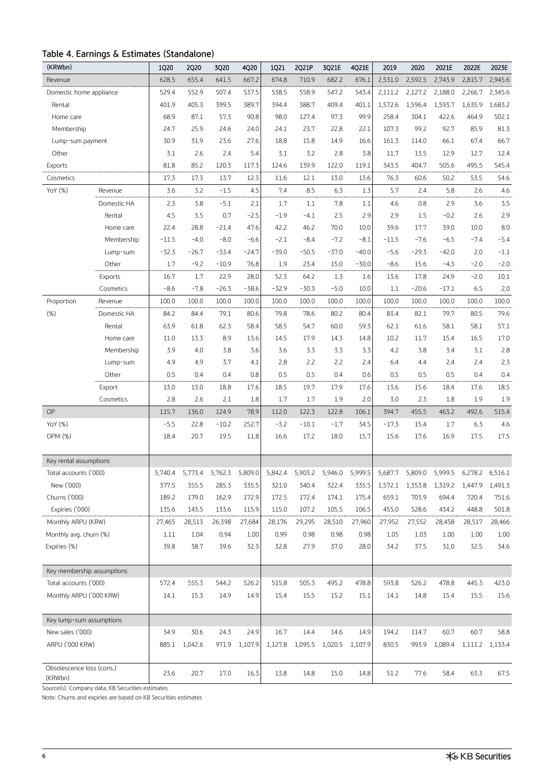## **Table 4. Earnings & Estimates (Standalone)**

| (KRWbn)                    |             | 1Q20    | <b>2Q20</b> | 3Q20    | 4Q20          | 1Q21    | 2Q21P   | 3Q21E   | 4Q21E   | 2019    | 2020    | 2021E   | 2022E   | 2023E           |
|----------------------------|-------------|---------|-------------|---------|---------------|---------|---------|---------|---------|---------|---------|---------|---------|-----------------|
| Revenue                    |             | 628.5   | 655.4       | 641.5   | 667.2         | 674.8   | 710.9   | 682.2   | 676.1   | 2,531.0 | 2,592.5 | 2,743.9 | 2,815.7 | 2,945.6         |
| Domestic home appliance    |             | 529.4   | 552.9       | 507.4   | 537.5         | 538.5   | 558.9   | 547.2   | 543.4   | 2,111,2 | 2,127,2 | 2,188.0 | 2,266.7 | 2,345.6         |
| Rental                     |             | 401.9   | 405.3       | 399.5   | 389.7         | 394.4   | 388.7   | 409.4   | 401.1   | 1,572.6 | 1,596.4 | 1,593.7 | 1,635.9 | 1,683.2         |
| Home care                  |             | 68.9    | 87.1        | 57.3    | 90.8          | 98.0    | 127.4   | 97.3    | 99.9    | 258.4   | 304.1   | 422.6   | 464.9   | 502.1           |
| Membership                 |             | 24.7    | 25.9        | 24.6    | 24.0          | 24.1    | 23.7    | 22.8    | 22.1    | 107.3   | 99.2    | 92.7    | 85.9    | 81.3            |
| Lump-sum payment           |             | 30.9    | 31,9        | 23.6    | 27.6          | 18.8    | 15.8    | 14.9    | 16.6    | 161.3   | 114.0   | 66.1    | 67.4    | 66.7            |
| Other                      |             | 3.1     | 2.6         | 2.4     | 5.4           | 3.1     | 3.2     | 2.8     | 3.8     | 11.7    | 13.5    | 12.9    | 12.7    | 12.4            |
| Exports                    |             | 81.8    | 85.2        | 120.3   | 117.3         | 124.6   | 139.9   | 122.0   | 119.1   | 343.5   | 404.7   | 505.6   | 495.5   | 545.4           |
| Cosmetics                  |             | 17.3    | 17.3        | 13.7    | 12.3          | 11.6    | 12.1    | 13.0    | 13.6    | 76.3    | 60.6    | 50.2    | 53.5    | 54.6            |
| YoY (%)                    | Revenue     | 3.6     | 3.2         | $-1.5$  | 4.5           | 7.4     | 8.5     | 6.3     | 1.3     | 5.7     | 2.4     | 5.8     | 2.6     | 4.6             |
|                            | Domestic HA | 2.3     | 3.8         | $-5.1$  | 2.1           | 1.7     | 1.1     | 7.8     | 1.1     | 4.6     | 0.8     | 2.9     | 3.6     | 3.5             |
|                            | Rental      | 4.5     | 3.5         | 0.7     | $-2.5$        | $-1.9$  | $-4.1$  | 2.5     | 2.9     | 2.9     | 1.5     | $-0.2$  | 2.6     | 2.9             |
|                            | Home care   | 22.4    | 28.8        | $-21.4$ | 47.6          | 42.2    | 46.2    | 70.0    | 10.0    | 39.6    | 17.7    | 39.0    | 10.0    | 8.0             |
|                            | Membership  | $-11.5$ | $-4.0$      | $-8.0$  | $-6.6$        | $-2.1$  | $-8.4$  | $-7.2$  | $-8.1$  | $-11.5$ | $-7.6$  | $-6.5$  | $-7.4$  | $-5.4$          |
|                            | Lump-sum    | $-32.3$ | $-26.7$     | $-33.4$ | $-24.7$       | $-39.0$ | $-50.5$ | $-37.0$ | $-40.0$ | $-5.6$  | $-29.3$ | $-42.0$ | 2.0     | $-1.1$          |
|                            | Other       | 1.7     | $-9.2$      | $-10.9$ | 76.8          | 1.9     | 23.4    | 15.0    | $-30.0$ | $-8.6$  | 15.6    | $-4.3$  | $-2.0$  | $-2.0$          |
|                            | Exports     | 16.7    | 1.7         | 22,9    | 28.0          | 52.3    | 64.2    | 1.3     | 1.6     | 13.6    | 17.8    | 24.9    | $-2.0$  | 10.1            |
|                            | Cosmetics   | $-8.6$  | $-7.8$      | $-26.3$ | $-38.6$       | $-32.9$ | $-30.3$ | $-5.0$  | 10.0    | 1.1     | $-20.6$ | $-17.1$ | 6.5     | 2.0             |
| Proportion                 | Revenue     | 100.0   | 100.0       | 100.0   | 100.0         | 100.0   | 100.0   | 100.0   | 100.0   | 100.0   | 100.0   | 100.0   | 100.0   | 100.0           |
| (% )                       | Domestic HA | 84.2    | 84.4        | 79.1    | 80.6          | 79.8    | 78.6    | 80.2    | 80.4    | 83.4    | 82.1    | 79.7    | 80.5    | 79.6            |
|                            | Rental      | 63.9    | 61.8        | 62.3    | 58.4          | 58.5    | 54.7    | 60.0    | 59.3    | 62.1    | 61.6    | 58.1    | 58.1    | 57.1            |
|                            | Home care   | 11.0    | 13.3        | 8.9     | 13.6          | 14.5    | 17.9    | 14.3    | 14.8    | 10.2    | 11.7    | 15.4    | 16.5    | 17.0            |
|                            | Membership  | 3.9     | 4.0         | 3.8     | 3.6           | 3.6     | 3.3     | 3.3     | 3.3     | 4.2     | 3.8     | 3.4     | 3.1     | 2.8             |
|                            | Lump-sum    | 4.9     | 4.9         | 3.7     | 4,1           | 2.8     | 2.2     | 2.2     | 2.4     | 6.4     | 4.4     | 2,4     | 2,4     | 2.3             |
|                            | Other       | 0.5     | 0.4         | 0.4     | 0.8           | 0.5     | 0.5     | 0.4     | 0.6     | 0.5     | 0.5     | 0.5     | 0.4     | 0.4             |
|                            | Export      | 13.0    | 13.0        | 18.8    | 17.6          | 18.5    | 19.7    | 17.9    | 17.6    | 13.6    | 15.6    | 18.4    | 17.6    | 18.5            |
|                            | Cosmetics   | 2.8     | 2.6         | 2.1     | 1.8           | 1.7     | 1.7     | 1.9     | 2.0     | 3.0     | 2.3     | 1.8     | 1.9     | 1.9             |
| <b>OP</b>                  |             | 115.7   | 136.0       | 124.9   | 78.9          | 112.0   | 122.3   | 122.8   | 106.1   | 394.7   | 455.5   | 463.2   | 492.6   | 515.4           |
| YoY (%)                    |             | $-5.5$  | 22.8        | $-10.2$ | 252.7         | $-3.2$  | $-10.1$ | $-1.7$  | 34.5    | $-17.3$ | 15.4    | 1.7     | 6.3     | 4.6             |
| OPM (%)                    |             | 18.4    | 20.7        | 19.5    | 11.8          | 16.6    | 17.2    | 18.0    | 15.7    | 15.6    | 17.6    | 16.9    | 17.5    | 17.5            |
|                            |             |         |             |         |               |         |         |         |         |         |         |         |         |                 |
| Key rental assumptions     |             |         |             |         |               |         |         |         |         |         |         |         |         |                 |
| Total accounts ('000)      |             | 5,740.4 | 5,773.4     | 5,762.3 | 5,809.0       | 5,842.4 | 5,903.2 | 5,946.0 | 5,999.5 | 5,687.7 | 5.809.0 | 5,999.5 | 6,278.2 | 6,516.1         |
| New ('000)                 |             | 377.5   | 355.5       | 285.3   | 335.5         | 321.0   | 340.4   | 322.4   | 335.5   | 1,572.1 | 1,353.8 | 1,319.2 | 1,447.9 | 1,491.3         |
| Churns ('000)              |             | 189.2   | 179.0       | 162.9   | 172.9         | 172.5   | 172.4   | 174.1   | 175.4   | 659.1   | 703.9   | 694.4   | 720.4   | 751.6           |
| Expiries ('000)            |             | 135.6   | 143.5       | 133.6   | 115.9         | 115.0   | 107.2   | 105.5   | 106.5   | 455.0   | 528.6   | 434.2   | 448.8   | 501.8           |
| Monthly ARPU (KRW)         |             | 27,465  | 28,513      | 26,398  | 27,684        | 28,176  | 29,295  | 28,510  | 27,960  | 27,952  | 27,552  | 28,458  | 28,517  | 28,466          |
| Monthly avg. churn (%)     |             | 1.11    | 1.04        | 0.94    | 1.00          | 0.99    | 0.98    | 0.98    | 0.98    | 1.05    | 1.03    | 1.00    | 1.00    | 1.00            |
| Expiries (%)               |             | 39.8    | 38.7        | 39.6    | 32.3          | 32.8    | 27.9    | 37.0    | 28.0    | 34.2    | 37.5    | 31.0    | 32.5    | 34.6            |
|                            |             |         |             |         |               |         |         |         |         |         |         |         |         |                 |
| Key membership assumptions |             |         |             |         |               |         |         |         |         |         |         |         |         |                 |
| Total accounts ('000)      |             | 572.4   | 555.3       | 544.2   | 526.2         | 515.8   | 505.3   | 495.2   | 478.8   | 593.8   | 526.2   | 478.8   | 445.3   | 423.0           |
| Monthly ARPU ('000 KRW)    |             | 14.1    | 15.3        | 14.9    | 14.9          | 15.4    | 15.5    | 15.2    | 15.1    | 14.1    | 14.8    | 15.4    | 15.5    | 15.6            |
|                            |             |         |             |         |               |         |         |         |         |         |         |         |         |                 |
| Key lump-sum assumptions   |             |         |             |         |               |         |         |         |         |         |         |         |         |                 |
| New sales ('000)           |             | 34.9    | 30.6        | 24.3    | 24.9          | 16.7    | 14.4    | 14.6    | 14.9    | 194.2   | 114.7   | 60.7    | 60.7    | 58.8            |
| ARPU ('000 KRW)            |             | 885.1   | 1,042.6     |         | 971.9 1,107.9 | 1,127.8 | 1,095.5 | 1,020.5 | 1,107.9 | 830.5   | 993.9   | 1,089.4 |         | 1,111.2 1,133.4 |
|                            |             |         |             |         |               |         |         |         |         |         |         |         |         |                 |
| Obsolescence loss (cons.)  |             | 23.6    | 20.7        | 17.0    | 16.3          | 13.8    | 14.8    | 15.0    | 14.8    | 51.2    | 77.6    | 58.4    | 63.3    | 67.5            |
| (KRWbn)                    |             |         |             |         |               |         |         |         |         |         |         |         |         |                 |

Source(s): Company data, KB Securities estimates

Note: Churns and expiries are based on KB Securities estimates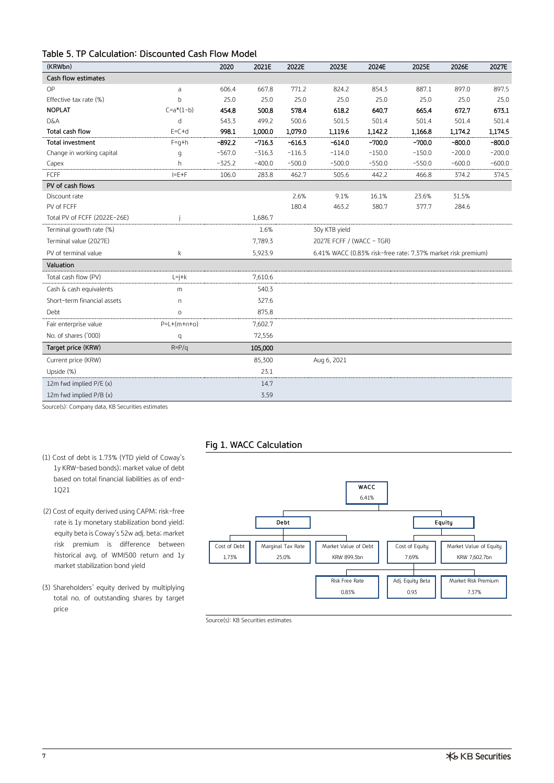## **Table 5. TP Calculation: Discounted Cash Flow Model**

| (KRWbn)                      |               | 2020     | 2021E    | 2022E    | 2023E                     | 2024E    | 2025E                                                        | 2026E    | 2027E    |
|------------------------------|---------------|----------|----------|----------|---------------------------|----------|--------------------------------------------------------------|----------|----------|
| Cash flow estimates          |               |          |          |          |                           |          |                                                              |          |          |
| OP                           | a             | 606.4    | 667.8    | 771.2    | 824,2                     | 854.3    | 887.1                                                        | 897.0    | 897.5    |
| Effective tax rate (%)       | b             | 25.0     | 25.0     | 25.0     | 25.0                      | 25.0     | 25.0                                                         | 25.0     | 25.0     |
| <b>NOPLAT</b>                | $C=a*(1-b)$   | 454.8    | 500.8    | 578.4    | 618.2                     | 640.7    | 665.4                                                        | 672.7    | 673.1    |
| D&A                          | d             | 543.3    | 499.2    | 500.6    | 501.5                     | 501.4    | 501.4                                                        | 501.4    | 501.4    |
| Total cash flow              | $E=C+d$       | 998.1    | 1,000.0  | 1,079.0  | 1,119.6                   | 1,142.2  | 1,166.8                                                      | 1,174.2  | 1,174.5  |
| <b>Total investment</b>      | $F=q+h$       | $-892.2$ | $-716.3$ | $-616.3$ | $-614.0$                  | $-700.0$ | $-700.0$                                                     | $-800.0$ | $-800.0$ |
| Change in working capital    | q             | $-567.0$ | $-316.3$ | $-116.3$ | $-114.0$                  | $-150.0$ | $-150.0$                                                     | $-200.0$ | $-200.0$ |
| Capex                        | h.            | $-325.2$ | $-400.0$ | $-500.0$ | $-500.0$                  | $-550.0$ | $-550.0$                                                     | $-600.0$ | $-600.0$ |
| FCFF                         | $I = E + F$   | 106.0    | 283.8    | 462.7    | 505.6                     | 442.2    | 466.8                                                        | 374.2    | 374.5    |
| PV of cash flows             |               |          |          |          |                           |          |                                                              |          |          |
| Discount rate                |               |          |          | 2.6%     | 9.1%                      | 16.1%    | 23.6%                                                        | 31.5%    |          |
| PV of FCFF                   |               |          |          | 180.4    | 463.2                     | 380.7    | 377.7                                                        | 284,6    |          |
| Total PV of FCFF (2022E-26E) |               |          | 1,686.7  |          |                           |          |                                                              |          |          |
| Terminal growth rate (%)     |               |          | 1.6%     |          | 30y KTB yield             |          |                                                              |          |          |
| Terminal value (2027E)       |               |          | 7,789.3  |          | 2027E FCFF / (WACC - TGR) |          |                                                              |          |          |
| PV of terminal value         | k             |          | 5,923.9  |          |                           |          | 6.41% WACC (0.83% risk-free rate; 7.37% market risk premium) |          |          |
| Valuation                    |               |          |          |          |                           |          |                                                              |          |          |
| Total cash flow (PV)         | $L = j + k$   |          | 7,610.6  |          |                           |          |                                                              |          |          |
| Cash & cash equivalents      | m             |          | 540.3    |          |                           |          |                                                              |          |          |
| Short-term financial assets  | n.            |          | 327.6    |          |                           |          |                                                              |          |          |
| Debt                         | $\circ$       |          | 875.8    |          |                           |          |                                                              |          |          |
| Fair enterprise value        | $P=L+(m+n+o)$ |          | 7,602.7  |          |                           |          |                                                              |          |          |
| No. of shares ('000)         | q             |          | 72,556   |          |                           |          |                                                              |          |          |
| Target price (KRW)           | $R = P/q$     |          | 105,000  |          |                           |          |                                                              |          |          |
| Current price (KRW)          |               |          | 85,300   |          | Aug 6, 2021               |          |                                                              |          |          |
| Upside (%)                   |               |          | 23.1     |          |                           |          |                                                              |          |          |
| 12m fwd implied P/E (x)      |               |          | 14.7     |          |                           |          |                                                              |          |          |
| 12m fwd implied P/B (x)      |               |          | 3.59     |          |                           |          |                                                              |          |          |

Source(s): Company data, KB Securities estimates

## **Fig 1. WACC Calculation**

- (1) Cost of debt is 1.73% (YTD yield of Coway's 1y KRW-based bonds); market value of debt based on total financial liabilities as of end-1Q21
- (2) Cost of equity derived using CAPM; risk-free rate is 1y monetary stabilization bond yield; equity beta is Coway's 52w adj. beta; market risk premium is difference between historical avg. of WMI500 return and 1y market stabilization bond yield
- (3) Shareholders' equity derived by multiplying total no. of outstanding shares by target price



Source(s): KB Securities estimates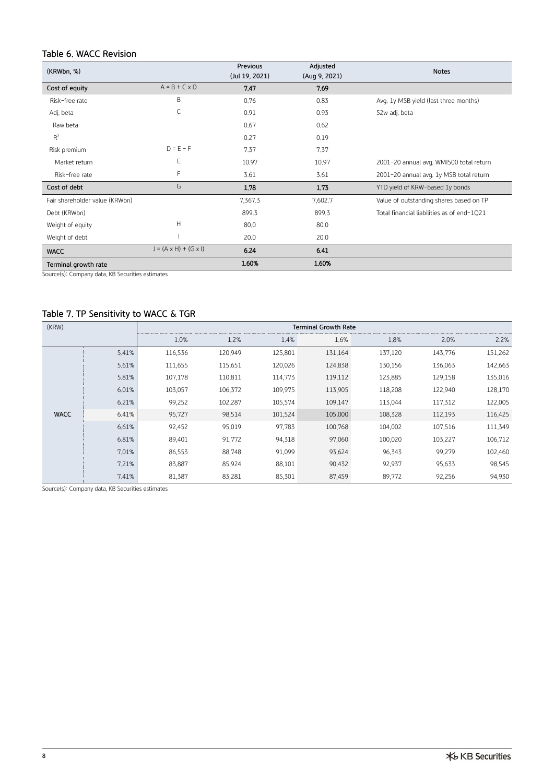## **Table 6. WACC Revision**

| (KRWbn, %)                     |                                   | Previous<br>(Jul 19, 2021) | Adjusted<br>(Aug 9, 2021) | <b>Notes</b>                               |
|--------------------------------|-----------------------------------|----------------------------|---------------------------|--------------------------------------------|
| Cost of equity                 | $A = B + C \times D$              | 7.47                       | 7.69                      |                                            |
| Risk-free rate                 | B                                 | 0.76                       | 0.83                      | Avg. 1y MSB yield (last three months)      |
| Adj. beta                      | $\mathsf{C}$                      | 0.91                       | 0.93                      | 52w adj. beta                              |
| Raw beta                       |                                   | 0.67                       | 0.62                      |                                            |
| $R^2$                          |                                   | 0.27                       | 0.19                      |                                            |
| Risk premium                   | $D = E - F$                       | 7.37                       | 7.37                      |                                            |
| Market return                  | E                                 | 10.97                      | 10.97                     | 2001-20 annual avg. WMI500 total return    |
| Risk-free rate                 | F                                 | 3.61                       | 3.61                      | 2001-20 annual avg. 1y MSB total return    |
| Cost of debt                   | G                                 | 1.78                       | 1.73                      | YTD yield of KRW-based 1y bonds            |
| Fair shareholder value (KRWbn) |                                   | 7,367.3                    | 7,602.7                   | Value of outstanding shares based on TP    |
| Debt (KRWbn)                   |                                   | 899.3                      | 899.3                     | Total financial liabilities as of end-1021 |
| Weight of equity               | Н                                 | 80.0                       | 80.0                      |                                            |
| Weight of debt                 |                                   | 20.0                       | 20.0                      |                                            |
| <b>WACC</b>                    | $J = (A \times H) + (G \times I)$ | 6.24                       | 6.41                      |                                            |
| Terminal growth rate           |                                   | 1.60%                      | 1,60%                     |                                            |

Source(s): Company data, KB Securities estimates

## **Table 7. TP Sensitivity to WACC & TGR**

| (KRW)       |       |         |         |         |         |         |         |         |
|-------------|-------|---------|---------|---------|---------|---------|---------|---------|
|             |       | 1.0%    | 1.2%    | 1.4%    | 1.6%    | 1.8%    | 2.0%    | 2.2%    |
|             | 5.41% | 116,536 | 120,949 | 125,801 | 131,164 | 137,120 | 143,776 | 151,262 |
|             | 5.61% | 111,655 | 115,651 | 120,026 | 124,838 | 130,156 | 136,063 | 142,663 |
|             | 5.81% | 107,178 | 110,811 | 114,773 | 119,112 | 123,885 | 129,158 | 135,016 |
|             | 6.01% | 103,057 | 106,372 | 109,975 | 113,905 | 118,208 | 122,940 | 128,170 |
|             | 6.21% | 99,252  | 102,287 | 105,574 | 109,147 | 113,044 | 117,312 | 122,005 |
| <b>WACC</b> | 6.41% | 95,727  | 98,514  | 101,524 | 105,000 | 108,328 | 112,193 | 116,425 |
|             | 6.61% | 92,452  | 95,019  | 97,783  | 100,768 | 104,002 | 107,516 | 111,349 |
|             | 6.81% | 89,401  | 91,772  | 94,318  | 97,060  | 100,020 | 103,227 | 106,712 |
|             | 7.01% | 86,553  | 88,748  | 91,099  | 93,624  | 96,343  | 99,279  | 102,460 |
|             | 7,21% | 83,887  | 85,924  | 88,101  | 90,432  | 92,937  | 95,633  | 98,545  |
|             | 7.41% | 81,387  | 83,281  | 85,301  | 87,459  | 89,772  | 92,256  | 94,930  |

Source(s): Company data, KB Securities estimates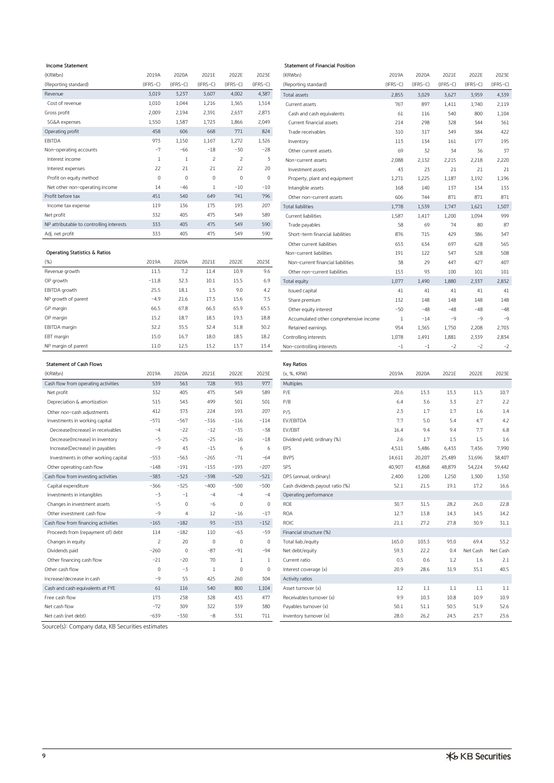| (KRWbn)                                  | 2019A       | 2020A      | 2021E          | 2022E          | 2023E        | (KRWbn)                          | 2019A      | 2020A      | 2021E    | 2022E      | 2023E   |
|------------------------------------------|-------------|------------|----------------|----------------|--------------|----------------------------------|------------|------------|----------|------------|---------|
| (Reporting standard)                     | $(IFRS-C)$  | $(IFRS-C)$ | $(IFRS-C)$     | $(IFRS-C)$     | $(IFRS-C)$   | (Reporting standard)             | $(IFRS-C)$ | $(IFRS-C)$ | (IFRS-C) | $(IFRS-C)$ | (IFRS-C |
| Revenue                                  | 3,019       | 3,237      | 3,607          | 4,002          | 4,387        | Total assets                     | 2,855      | 3,029      | 3,627    | 3,959      | 4,339   |
| Cost of revenue                          | 1,010       | 1,044      | 1,216          | 1,365          | 1,514        | Current assets                   | 767        | 897        | 1,411    | 1,740      | 2,119   |
| Gross profit                             | 2,009       | 2,194      | 2,391          | 2,637          | 2,873        | Cash and cash equivalents        | 61         | 116        | 540      | 800        | 1,104   |
| SG&A expenses                            | 1,550       | 1,587      | 1,723          | 1,866          | 2,049        | Current financial assets         | 214        | 298        | 328      | 344        | 361     |
| Operating profit                         | 458         | 606        | 668            | 771            | 824          | Trade receivables                | 310        | 317        | 349      | 384        | 422     |
| EBITDA                                   | 973         | 1,150      | 1,167          | 1,272          | 1,326        | Inventory                        | 113        | 134        | 161      | 177        | 195     |
| Non-operating accounts                   | $-7$        | $-66$      | $-18$          | $-30$          | $-28$        | Other current assets             | 69         | 32         | 34       | 36         | 37      |
| Interest income                          | 1           |            | $\overline{2}$ | $\overline{2}$ | 3            | Non-current assets               | 2,088      | 2,132      | 2,215    | 2,218      | 2,220   |
| Interest expenses                        | 22          | 21         | 21             | 22             | 20           | Investment assets                | 43         | 23         | 21       | 21         | 21      |
| Profit on equity method                  | $\mathbf 0$ | $\Omega$   | $\Omega$       | $\Omega$       | $\mathbf{0}$ | Property, plant and equipment    | 1,271      | 1,225      | 1,187    | 1,192      | 1,196   |
| Net other non-operating income           | 14          | $-46$      |                | $-10$          | $-10$        | Intangible assets                | 168        | 140        | 137      | 134        | 133     |
| Profit before tax                        | 451         | 540        | 649            | 741            | 796          | Other non-current assets         | 606        | 744        | 871      | 871        | 871     |
| Income tax expense                       | 119         | 136        | 175            | 193            | 207          | <b>Total liabilities</b>         | 1,778      | 1,539      | 1,747    | 1,621      | 1,507   |
| Net profit                               | 332         | 405        | 475            | 549            | 589          | Current liabilities              | 1,587      | 1,417      | 1,200    | 1,094      | 999     |
| NP attributable to controlling interests | 333         | 405        | 475            | 549            | 590          | Trade payables                   | 58         | 69         | 74       | 80         | 87      |
| Adj net profit                           | 333         | 405        | 475            | 549            | 590          | Short-term financial liabilities | 876        | 715        | A79      | 386        | 345     |

### **Operating Statistics & Ratios**

| (% )                | 2019A   | 2020A | 2021E | 2022E | 2023E | Non-current financial liabilities      | 38    | 29    | 447   | 427   | 407            |
|---------------------|---------|-------|-------|-------|-------|----------------------------------------|-------|-------|-------|-------|----------------|
| Revenue growth      | 11.5    | 7.2   | 11.4  | 10.9  | 9.6   | Other non-current liabilities          | 153   | 93    | 100   | 101   | 101            |
| OP growth           | $-11.8$ | 32.3  | 10.1  | 15.5  | 6.9   | Total equity                           | 1,077 | 1,490 | 1,880 | 2,337 | 2,832          |
| EBITDA growth       | 25.5    | 18.1  | 1.5   | 9,0   | 4.2   | Issued capital                         | 41    | 41    | 41    | 41    | 41             |
| NP growth of parent | $-4,9$  | 21.6  | 17.3  | 15.6  | 7.5   | Share premium                          | 132   | 148   | 148   | 148   | 148            |
| GP margin           | 66.5    | 67.8  | 66.3  | 65.9  | 65.5  | Other equity interest                  | $-50$ | $-48$ | $-48$ | $-48$ | $-48$          |
| OP margin           | 15.2    | 18.7  | 18.5  | 19.3  | 18.8  | Accumulated other comprehensive income |       | $-14$ | $-9$  | $-9$  | $-\frac{6}{5}$ |
| EBITDA margin       | 32,2    | 35.5  | 32.4  | 31.8  | 30.2  | Retained earnings                      | 954   | 1,365 | 1,750 | 2,208 | 2,703          |
| EBT margin          | 15.0    | 16.7  | 18.0  | 18.5  | 18.2  | Controlling interests                  | 1,078 | 1,491 | 1,881 | 2,339 | 2,834          |
| NP margin of parent | 11.0    | 12.5  | 13.2  | 13.7  | 13.4  | Non-controlling interests              | -1    | ÷ī    | $-2$  | $-2$  | Ξž             |

### **Statement of Cash Flows Key Ratios**

| (KRWbn)                              | 2019A       | 2020A          | 2021E       | 2022E        | 2023E        | (x, %, KRW)              |
|--------------------------------------|-------------|----------------|-------------|--------------|--------------|--------------------------|
| Cash flow from operating activities  | 539         | 563            | 728         | 933          | 977          | Multiples                |
| Net profit                           | 332         | 405            | 475         | 549          | 589          | P/E                      |
| Depreciation & amortization          | 515         | 543            | 499         | 501          | 501          | P/B                      |
| Other non-cash adjustments           | 412         | 373            | 224         | 193          | 207          | P/S                      |
| Investments in working capital       | $-571$      | $-567$         | $-316$      | $-116$       | $-114$       | EV/EBITDA                |
| Decrease(Increase) in receivables    | $-4$        | $-22$          | $-12$       | $-35$        | $-38$        | EV/EBIT                  |
| Decrease(Increase) in inventory      | $-5$        | $-25$          | $-25$       | $-16$        | $-18$        | Dividend yield, ordinary |
| Increase(Decrease) in payables       | $-9$        | 43             | $-15$       | 6            | 6            | <b>EPS</b>               |
| Investments in other working capital | $-553$      | $-563$         | $-265$      | $-71$        | $-64$        | <b>BVPS</b>              |
| Other operating cash flow            | $-148$      | $-191$         | $-153$      | $-193$       | $-207$       | SPS                      |
| Cash flow from investing activities  | $-383$      | $-323$         | $-398$      | $-520$       | $-521$       | DPS (annual, ordinary)   |
| Capital expenditure                  | $-366$      | $-325$         | $-400$      | $-500$       | $-500$       | Cash dividends payout    |
| Investments in intangibles           | $-3$        | $-1$           | $-4$        | $-4$         | $-4$         | Operating performance    |
| Changes in investment assets         | $-5$        | $\mathbf 0$    | $-6$        | $\mathbf 0$  | $\mathbf{0}$ | <b>ROE</b>               |
| Other investment cash flow           | $-9$        | $\overline{4}$ | 12          | $-16$        | $-17$        | <b>ROA</b>               |
| Cash flow from financing activities  | $-165$      | $-182$         | 93          | $-153$       | $-152$       | <b>ROIC</b>              |
| Proceeds from (repayment of) debt    | 114         | $-182$         | 110         | $-63$        | $-59$        | Financial structure (%)  |
| Changes in equity                    | 2           | 20             | $\mathbf 0$ | $\Omega$     | $\mathbf{0}$ | Total liab./equity       |
| Dividends paid                       | $-260$      | $\mathbf 0$    | $-87$       | $-91$        | $-94$        | Net debt/equity          |
| Other financing cash flow            | $-21$       | $-20$          | 70          | 1            | 1            | Current ratio            |
| Other cash flow                      | $\mathbf 0$ | $-3$           | 1           | $\mathbf{0}$ | $\mathbf{0}$ | Interest coverage (x)    |
| Increase/decrease in cash            | $-9$        | 55             | 425         | 260          | 304          | Activity ratios          |
| Cash and cash equivalents at FYE     | 61          | 116            | 540         | 800          | 1,104        | Asset turnover (x)       |
| Free cash flow                       | 173         | 238            | 328         | 433          | 477          | Receivables turnover (x  |
| Net cash flow                        | $-72$       | 309            | 322         | 339          | 380          | Payables turnover (x)    |
| Net cash (net debt)                  | $-639$      | $-330$         | $-8$        | 331          | 711          | Inventory turnover (x)   |

## **Income Statement Statement of Financial Position**

| (KRWbn)                                  | 2019A        | 2020A        | 2021E          | 2022E          | 2023E      | (KRWbn)                                | 2019A      | 2020A      | 2021E      | 2022E      | 2023E      |
|------------------------------------------|--------------|--------------|----------------|----------------|------------|----------------------------------------|------------|------------|------------|------------|------------|
| (Reporting standard)                     | $(IFRS-C)$   | $(IFRS-C)$   | $(IFRS-C)$     | $(IFRS-C)$     | $(IFRS-C)$ | (Reporting standard)                   | $(IFRS-C)$ | $(IFRS-C)$ | $(IFRS-C)$ | $(IFRS-C)$ | $(IFRS-C)$ |
| Revenue                                  | 3,019        | 3,237        | 3,607          | 4,002          | 4,387      | Total assets                           | 2,855      | 3,029      | 3,627      | 3,959      | 4,339      |
| Cost of revenue                          | 1,010        | 1,044        | 1,216          | 1,365          | 1,514      | Current assets                         | 767        | 897        | 1,411      | 1,740      | 2,119      |
| Gross profit                             | 2,009        | 2,194        | 2,391          | 2,637          | 2,873      | Cash and cash equivalents              | 61         | 116        | 540        | 800        | 1,104      |
| SG&A expenses                            | 1,550        | 1,587        | 1,723          | 1,866          | 2,049      | Current financial assets               | 214        | 298        | 328        | 344        | 361        |
| Operating profit                         | 458          | 606          | 668            | 771            | 824        | Trade receivables                      | 310        | 317        | 349        | 384        | 422        |
| EBITDA                                   | 973          | 1,150        | 1,167          | 1,272          | 1,326      | Inventory                              | 113        | 134        | 161        | 177        | 195        |
| Non-operating accounts                   | $-7$         | $-66$        | $-18$          | $-30$          | $-28$      | Other current assets                   | 69         | 32         | 34         | 36         | 37         |
| Interest income                          | $\mathbf{1}$ | 1            | $\overline{2}$ | $\overline{2}$ | 3          | Non-current assets                     | 2,088      | 2,132      | 2,215      | 2,218      | 2,220      |
| Interest expenses                        | 22           | 21           | 21             | 22             | 20         | Investment assets                      | 43         | 23         | 21         | 21         | 21         |
| Profit on equity method                  | $\mathbf 0$  | $\mathbf{0}$ | $\mathbf 0$    | $\mathbf{0}$   | 0          | Property, plant and equipment          | 1,271      | 1,225      | 1,187      | 1,192      | 1,196      |
| Net other non-operating income           | 14           | $-46$        | 1              | $-10$          | $-10$      | Intangible assets                      | 168        | 140        | 137        | 134        | 133        |
| Profit before tax                        | 451          | 540          | 649            | 741            | 796        | Other non-current assets               | 606        | 744        | 871        | 871        | 871        |
| Income tax expense                       | 119          | 136          | 175            | 193            | 207        | <b>Total liabilities</b>               | 1,778      | 1,539      | 1,747      | 1,621      | 1,507      |
| Net profit                               | 332          | 405          | 475            | 549            | 589        | Current liabilities                    | 1,587      | 1,417      | 1,200      | 1,094      | 999        |
| NP attributable to controlling interests | 333          | 405          | 475            | 549            | 590        | Trade payables                         | 58         | 69         | 74         | 80         | 87         |
| Adj. net profit                          | 333          | 405          | 475            | 549            | 590        | Short-term financial liabilities       | 876        | 715        | 429        | 386        | 347        |
|                                          |              |              |                |                |            | Other current liabilities              | 653        | 634        | 697        | 628        | 565        |
| Operating Statistics & Ratios            |              |              |                |                |            | Non-current liabilities                | 191        | 122        | 547        | 528        | 508        |
| $(\%)$                                   | 2019A        | 2020A        | 2021E          | 2022E          | 2023E      | Non-current financial liabilities      | 38         | 29         | 447        | 427        | 407        |
| Revenue growth                           | 11.5         | 7.2          | 11,4           | 10.9           | 9.6        | Other non-current liabilities          | 153        | 93         | 100        | 101        | 101        |
| OP growth                                | $-11.8$      | 32.3         | 10.1           | 15.5           | 6.9        | Total equity                           | 1,077      | 1,490      | 1.880      | 2,337      | 2,832      |
| EBITDA growth                            | 25.5         | 18.1         | 1.5            | 9,0            | 4.2        | Issued capital                         | 41         | 41         | 41         | 41         | 41         |
| NP growth of parent                      | $-4,9$       | 21.6         | 17.3           | 15.6           | 7.5        | Share premium                          | 132        | 148        | 148        | 148        | 148        |
| GP margin                                | 66.5         | 67.8         | 66.3           | 65.9           | 65.5       | Other equity interest                  | $-50$      | $-48$      | $-48$      | $-48$      | $-48$      |
| OP margin                                | 15.2         | 18.7         | 18.5           | 19.3           | 18.8       | Accumulated other comprehensive income | 1          | $-14$      | $-9$       | $-9$       | $-9$       |
| EBITDA margin                            | 32,2         | 35.5         | 32.4           | 31.8           | 30.2       | Retained earnings                      | 954        | 1,365      | 1,750      | 2,208      | 2,703      |
| EBT margin                               | 15.0         | 16.7         | 18.0           | 18.5           | 18.2       | Controlling interests                  | 1,078      | 1,491      | 1,881      | 2,339      | 2,834      |
| NP margin of parent                      | 11.0         | 12.5         | 13.2           | 13.7           | 13.4       | Non-controlling interests              | $^{-1}$    | $^{-1}$    | $-2$       | $-2$       | $-2$       |
|                                          |              |              |                |                |            |                                        |            |            |            |            |            |

| (KRWbn)                              | 2019A       | 2020A       | 2021E        | 2022E       | 2023E        | (x, %, KRW)                     | 2019A  | 2020A  | 2021E  | 2022E    | 2023E    |
|--------------------------------------|-------------|-------------|--------------|-------------|--------------|---------------------------------|--------|--------|--------|----------|----------|
| Cash flow from operating activities  | 539         | 563         | 728          | 933         | 977          | Multiples                       |        |        |        |          |          |
| Net profit                           | 332         | 405         | 475          | 549         | 589          | P/E                             | 20.6   | 13.3   | 13.3   | 11.5     | 10.7     |
| Depreciation & amortization          | 515         | 543         | 499          | 501         | 501          | P/B                             | 6,4    | 3.6    | 3.3    | 2.7      | 2,2      |
| Other non-cash adjustments           | 412         | 373         | 224          | 193         | 207          | P/S                             | 2,3    | 1.7    | 1.7    | 1.6      | 1.4      |
| Investments in working capital       | $-571$      | $-567$      | $-316$       | $-116$      | $-114$       | EV/EBITDA                       | 7.7    | 5.0    | 5.4    | 4.7      | 4,2      |
| Decrease(Increase) in receivables    | $-4$        | $-22$       | $-12$        | $-35$       | $-38$        | EV/EBIT                         | 16.4   | 9.4    | 9.4    | 77       | 6.8      |
| Decrease(Increase) in inventory      | $-5$        | $-25$       | $-25$        | $-16$       | $-18$        | Dividend yield, ordinary (%)    | 2.6    | 1.7    | 1.5    | 1.5      | 1.6      |
| Increase(Decrease) in payables       | $-9$        | 43          | $-15$        | 6           | 6            | <b>EPS</b>                      | 4,511  | 5,486  | 6,433  | 7.436    | 7,990    |
| Investments in other working capital | $-553$      | $-563$      | $-265$       | $-71$       | $-64$        | <b>BVPS</b>                     | 14,611 | 20,207 | 25,489 | 31,696   | 38,407   |
| Other operating cash flow            | $-148$      | $-191$      | $-153$       | $-193$      | $-207$       | SPS                             | 40,907 | 43,868 | 48,879 | 54,224   | 59,442   |
| Cash flow from investing activities  | $-383$      | $-323$      | $-398$       | $-520$      | $-521$       | DPS (annual, ordinary)          | 2,400  | 1,200  | 1,250  | 1,300    | 1,350    |
| Capital expenditure                  | $-366$      | $-325$      | $-400$       | $-500$      | $-500$       | Cash dividends payout ratio (%) | 52,1   | 21,5   | 19.1   | 17.2     | 16.6     |
| Investments in intangibles           | $-3$        | $-1$        | $-4$         | $-4$        | $-4$         | Operating performance           |        |        |        |          |          |
| Changes in investment assets         | $-5$        | $\mathbf 0$ | $-6$         | $\mathbf 0$ | $\mathbf{0}$ | <b>ROE</b>                      | 30.7   | 31.5   | 28.2   | 26.0     | 22.8     |
| Other investment cash flow           | $-9$        | 4           | 12           | $-16$       | $-17$        | <b>ROA</b>                      | 12,7   | 13.8   | 14.3   | 14.5     | 14,2     |
| Cash flow from financing activities  | $-165$      | $-182$      | 93           | $-153$      | $-152$       | <b>ROIC</b>                     | 21,1   | 27.2   | 27.8   | 30.9     | 31.1     |
| Proceeds from (repayment of) debt    | 114         | $-182$      | 110          | $-63$       | $-59$        | Financial structure (%)         |        |        |        |          |          |
| Changes in equity                    | 2           | 20          | $\mathbf{0}$ | $\mathbf 0$ | $\mathbf{0}$ | Total liab./equity              | 165.0  | 103.3  | 93.0   | 69.4     | 53.2     |
| Dividends paid                       | $-260$      | $\,0\,$     | $-87$        | $-91$       | $-94$        | Net debt/equity                 | 59.3   | 22,2   | 0,4    | Net Cash | Net Cash |
| Other financing cash flow            | $-21$       | $-20$       | 70           | 1           | 1            | Current ratio                   | 0.5    | 0.6    | 1,2    | 1.6      | 2.1      |
| Other cash flow                      | $\mathbf 0$ | $-3$        |              | $\mathbf 0$ | $\mathbf{0}$ | Interest coverage (x)           | 20,9   | 28.6   | 31.9   | 35.1     | 40.5     |
| Increase/decrease in cash            | $-9$        | 55          | 425          | 260         | 304          | Activity ratios                 |        |        |        |          |          |
| Cash and cash equivalents at FYE     | 61          | 116         | 540          | 800         | 1,104        | Asset turnover (x)              | 1,2    | 1,1    | 1,1    | 1.1      | 1.1      |
| Free cash flow                       | 173         | 238         | 328          | 433         | 477          | Receivables turnover (x)        | 9.9    | 10.3   | 10.8   | 10.9     | 10.9     |
| Net cash flow                        | $-72$       | 309         | 322          | 339         | 380          | Payables turnover (x)           | 50.1   | 51.1   | 50.5   | 51.9     | 52,6     |
| Net cash (net debt)                  | $-639$      | $-330$      | $-8$         | 331         | 711          | Inventory turnover (x)          | 28.0   | 26,2   | 24.5   | 23.7     | 23.6     |

Source(s): Company data, KB Securities estimates